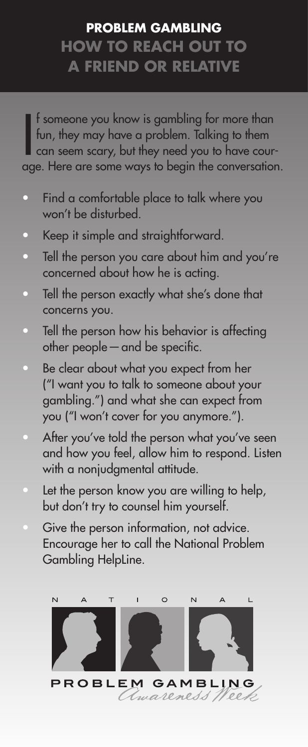## **PROBLEM GAMBLING HOW TO REACH OUT TO A FRIEND OR RELATIVE**

If someone you know is gambling for more than<br>fun, they may have a problem. Talking to them<br>can seem scary, but they need you to have cour-<br>age. Here are some ways to begin the conversation. f someone you know is gambling for more than fun, they may have a problem. Talking to them can seem scary, but they need you to have cour-

- Find a comfortable place to talk where you won't be disturbed.
- Keep it simple and straightforward.
- Tell the person you care about him and you're concerned about how he is acting.
- Tell the person exactly what she's done that concerns you.
- Tell the person how his behavior is affecting other people—and be specific.
- Be clear about what you expect from her ("I want you to talk to someone about your gambling.") and what she can expect from you ("I won't cover for you anymore.").
- After you've told the person what you've seen and how you feel, allow him to respond. Listen with a nonjudgmental attitude.
- Let the person know you are willing to help, but don't try to counsel him yourself.
- Give the person information, not advice. Encourage her to call the National Problem Gambling HelpLine.